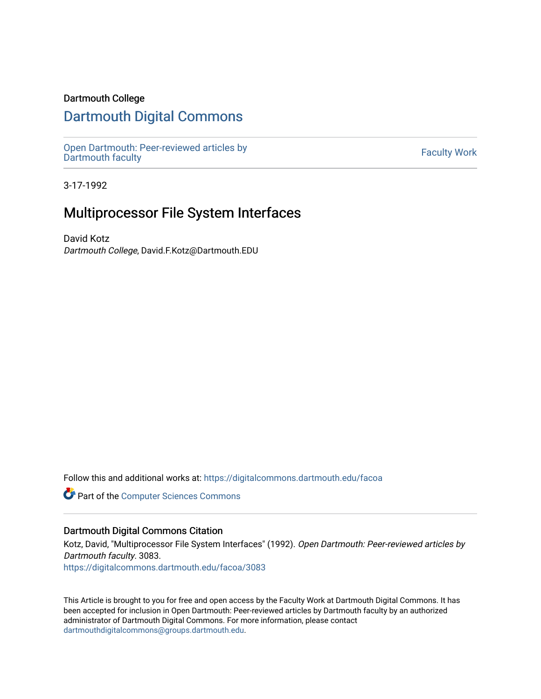## Dartmouth College

# [Dartmouth Digital Commons](https://digitalcommons.dartmouth.edu/)

[Open Dartmouth: Peer-reviewed articles by](https://digitalcommons.dartmouth.edu/facoa)  Open Dartmouth Feel-Teviewed articles by<br>[Dartmouth faculty](https://digitalcommons.dartmouth.edu/facoa)

3-17-1992

# Multiprocessor File System Interfaces

David Kotz Dartmouth College, David.F.Kotz@Dartmouth.EDU

Follow this and additional works at: [https://digitalcommons.dartmouth.edu/facoa](https://digitalcommons.dartmouth.edu/facoa?utm_source=digitalcommons.dartmouth.edu%2Ffacoa%2F3083&utm_medium=PDF&utm_campaign=PDFCoverPages)

Part of the [Computer Sciences Commons](http://network.bepress.com/hgg/discipline/142?utm_source=digitalcommons.dartmouth.edu%2Ffacoa%2F3083&utm_medium=PDF&utm_campaign=PDFCoverPages)

## Dartmouth Digital Commons Citation

Kotz, David, "Multiprocessor File System Interfaces" (1992). Open Dartmouth: Peer-reviewed articles by Dartmouth faculty. 3083.

[https://digitalcommons.dartmouth.edu/facoa/3083](https://digitalcommons.dartmouth.edu/facoa/3083?utm_source=digitalcommons.dartmouth.edu%2Ffacoa%2F3083&utm_medium=PDF&utm_campaign=PDFCoverPages) 

This Article is brought to you for free and open access by the Faculty Work at Dartmouth Digital Commons. It has been accepted for inclusion in Open Dartmouth: Peer-reviewed articles by Dartmouth faculty by an authorized administrator of Dartmouth Digital Commons. For more information, please contact [dartmouthdigitalcommons@groups.dartmouth.edu](mailto:dartmouthdigitalcommons@groups.dartmouth.edu).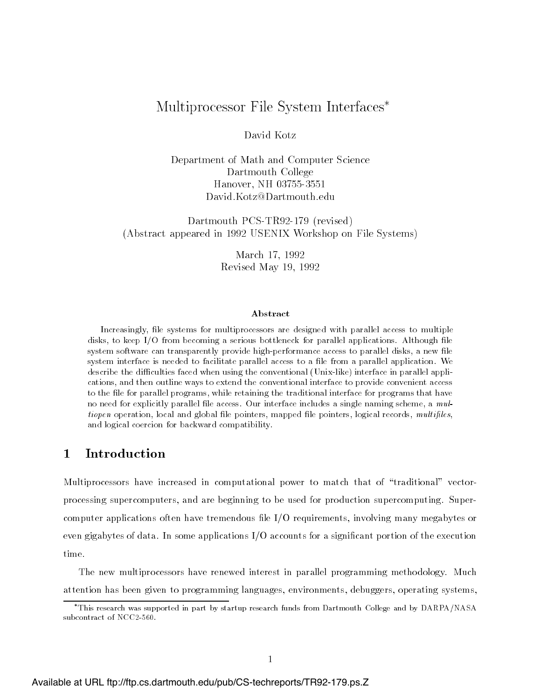# Multiprocessor File System Interfaces

## David Kotz

Department of Math and Computer Science Dartmouth College Hanover-NH (1986) in the state of the state of the state of the state of the state of the state of the state of  $David.Kotz@Dartmouth.edu$ 

Dartmouth PCS-TR92-179 (revised) (Abstract appeared in 1992 USENIX Workshop on File Systems)

> March -  Revised May -

### Abstract

Increasingly- le systems for multiprocessors are designed with parallel access to multiple disks- to keep IO from becoming a serious bottleneck for parallel applications Although le system software can transparently provide inquiry providence access to parallel disks- access to the system interface is needed to facilitate parallel access to a file from a parallel application. We describe the difficulties faced when using the conventional (Unix-like) interface in parallel applications-to-then outline ways to extend the conventional interface to extend the conventional interface to provide convenient access to the le for parallel programs- while retaining the traditional interface for programs that have no need for explicitly parallel life also a multiple includes a single naming scheme- a multiple tiopen operation, and was global less pointers, and pointers-pointers, angless and and and and an and logical coercion for backward compatibility

### -Introduction

Multiprocessors have increased in computational power to match that of -traditional vector processing supercomputers, and are beginning to be used for production supercomputing. Supercomputer applications often have tremendous file  $I/O$  requirements, involving many megabytes or even gigabytes of data. In some applications  $I/O$  accounts for a significant portion of the execution time.

The new multiprocessors have renewed interest in parallel programming methodology. Much attention has been given to programming languages, environments, debuggers, operating systems,

This research was supported in part by startup research funds from Dartmouth College and by DARPA-NASA subcontract of NCC2-560.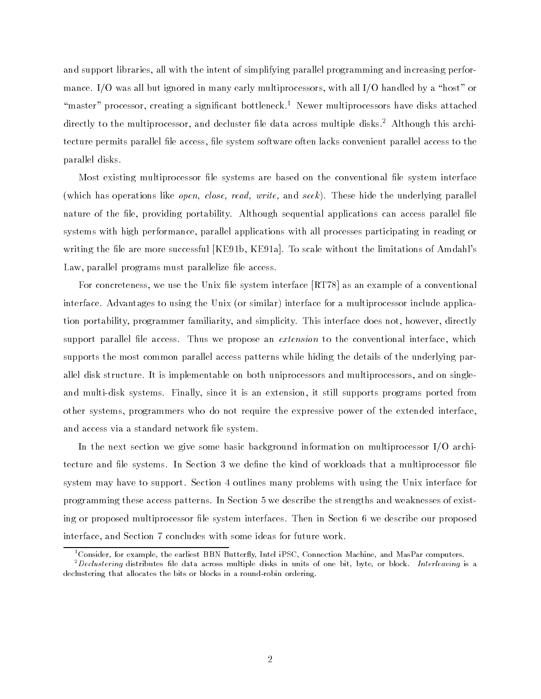and support libraries all with the intent of simplifying parallel programming and increasing perfor mance IO was all but ignored in many early multiprocessors with all IO handled by a -host or -master processor creating a signicant bottleneck Newer multiprocessors have disks attached directly to the multiprocessor, and decluster hie data across multiple disks. Although this architecture permits parallel file access, file system software often lacks convenient parallel access to the parallel disks

Most existing multiprocessor file systems are based on the conventional file system interface which has operations like operations like operations like operations and seek These hide the underlying parallel nature of the file, providing portability. Although sequential applications can access parallel file systems with high performance, parallel applications with all processes participating in reading or writing the file are more successful  $[KE91b, KE91a]$ . To scale without the limitations of Amdahl's Law, parallel programs must parallelize file access.

For concreteness, we use the Unix file system interface  $\left[ \text{RT} \, 78 \right]$  as an example of a conventional interface Advantages to using the Unix  $\mathcal{U}$  interface for a multiplication include application in  $\mathcal{U}$ tion portability, programmer familiarity, and simplicity. This interface does not, however, directly support parallel file access. Thus we propose an *extension* to the conventional interface, which supports the most common parallel access patterns while hiding the details of the underlying par allel disk structure. It is implementable on both uniprocessors and multiprocessors, and on singleand multi-disk systems. Finally, since it is an extension, it still supports programs ported from other systems, programmers who do not require the expressive power of the extended interface, and access via a standard network file system.

In the next section we give some basic background information on multiprocessor  $I/O$  architecture and file systems. In Section 3 we define the kind of workloads that a multiprocessor file system may have to support. Section 4 outlines many problems with using the Unix interface for programming these access patterns. In Section 5 we describe the strengths and weaknesses of existing or proposed multiprocessor file system interfaces. Then in Section 6 we describe our proposed interface, and Section 7 concludes with some ideas for future work.

Uonsider, for example, the earliest BBN Butterfly, Intel iPSC, Connection Machine, and MasPar computers.  $\,$ 

<sup>-</sup>Declustering distributes file data across multiple disks in units of one bit, byte, or block. Interleaving is a declustering that allocates the bits or blocks in a round-robin ordering.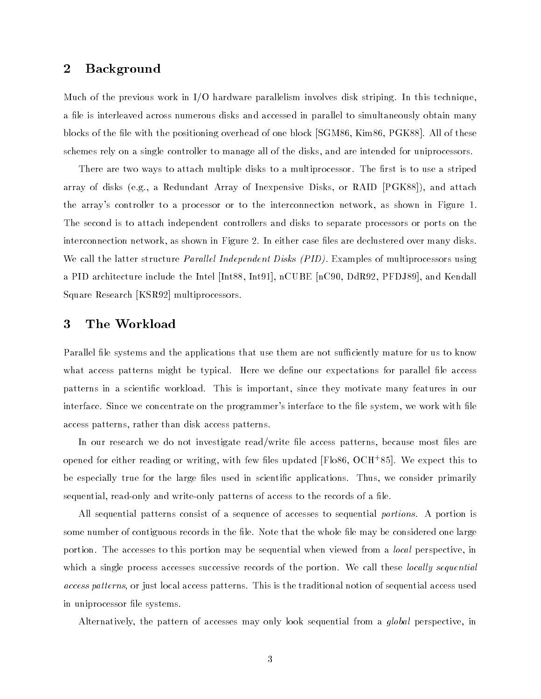### $\overline{2}$ Background

Much of the previous work in  $I/O$  hardware parallelism involves disk striping. In this technique, a file is interleaved across numerous disks and accessed in parallel to simultaneously obtain many blocks of the file with the positioning overhead of one block  $\sim$  SGM 86, Kim 86, PGK 88. All of these schemes rely on a single controller to manage all of the disks and are intended for uniprocessors

There are two ways to attach multiple disks to a multiprocessor. The first is to use a striped array of disks (sign) of the disks finish at European County of Inexpersive Disks of Array Military the array's controller to a processor or to the interconnection network, as shown in Figure 1. The second is to attach independent controllers and disks to separate processors or ports on the interconnection network, as shown in Figure 2. In either case files are declustered over many disks. We call the latter structure *Parallel Independent Disks (PID)*. Examples of multiprocessors using a PID architecture include the Intel [Int88, Int91],  $nCUBE$  [nC90, DdR92, PFDJ89], and Kendall Square Research [KSR92] multiprocessors.

### 3 The Workload

Parallel file systems and the applications that use them are not sufficiently mature for us to know what access patterns might be typical. Here we define our expectations for parallel file access patterns in a scientific workload. This is important, since they motivate many features in our interface. Since we concentrate on the programmer's interface to the file system, we work with file access patterns, rather than disk access patterns.

In our research we do not investigate read/write file access patterns, because most files are opened for either reading or writing, with few mes updated [Flood, OCH 85]. We expect this to be especially true for the large files used in scientific applications. Thus, we consider primarily sequential, read-only and write-only patterns of access to the records of a file.

All sequential patterns consist of a sequence of accesses to sequential *portions*. A portion is some number of contiguous records in the file. Note that the whole file may be considered one large portion. The accesses to this portion may be sequential when viewed from a *local* perspective, in which a single process accesses successive records of the portion. We call these *locally sequential* access patterns-industrial access patterns This is the traditional notion of sequential access used to sequential access used to the traditional notable in the traditional access used to access used to access used to acces in uniprocessor file systems.

Alternatively, the pattern of accesses may only look sequential from a *global* perspective, in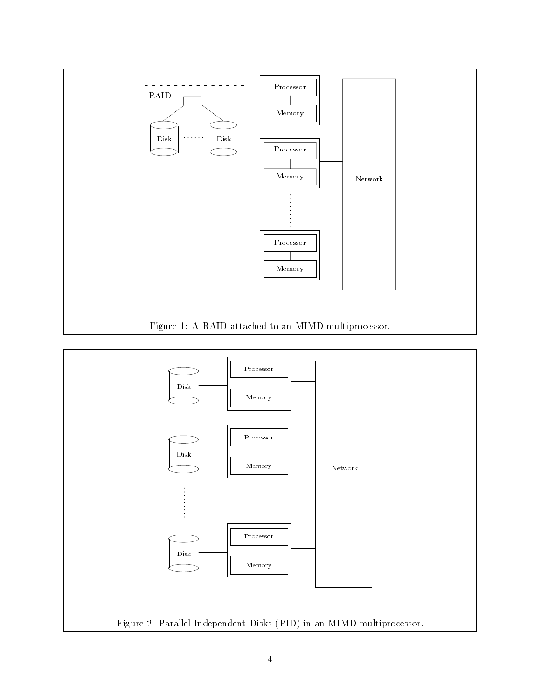

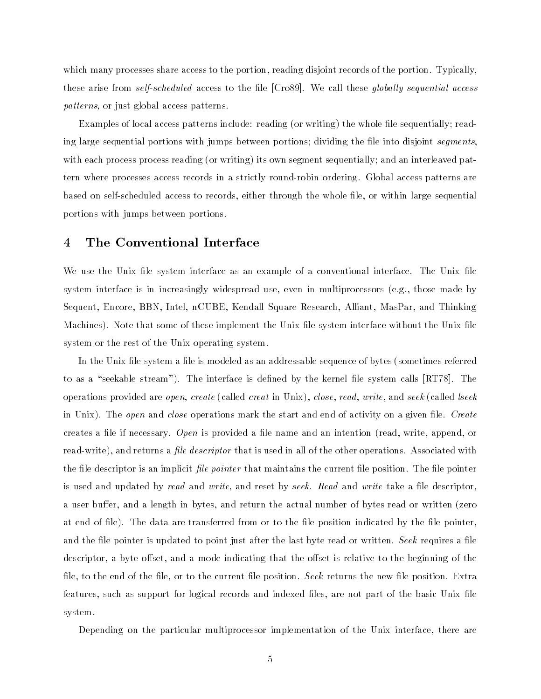which many processes share access to the portion, reading disjoint records of the portion. Typically, these arise from *self-scheduled* access to the file  $[Cross]$ . We call these *qlobally sequential access* patterns in the patterns of the patterns of the contract of the contract of the contract of the contract of the

Examples of local access patterns include reading or writing the whole le sequentially read ing large sequential portions with jumps between portions; dividing the file into disjoint *segments* with each process process process process reading its own sequentially and an interleaved pathology pathology and an interleaved pathology pathology pathology pathology pathology pathology pathology pathology pathology pat tern where processes access records in a strictly round-robin ordering. Global access patterns are based on self-scheduled access to records, either through the whole file, or within large sequential portions with jumps between portions

### $\overline{4}$ The Conventional Interface

We use the Unix file system interface as an example of a conventional interface. The Unix file system interface is in increasingly widespread use even in multiprocessors eg those made by Sequent, Encore, BBN, Intel, nCUBE, Kendall Square Research, Alliant, MasPar, and Thinking Machines). Note that some of these implement the Unix file system interface without the Unix file system or the rest of the Unix operating system.

In the Unix le system a le is modeled as an addressable sequence of bytes sometimes referred to as a construct clearing it was interface in diminimal ( ) fire where the calls provided provided water the operations provided are open create called creat in Unix close read write and seek called lseek in Unix). The *open* and *close* operations mark the start and end of activity on a given file. *Create* creates a le if necessary Open is provided a le name and an intention read write append or read-write), and returns a *file descriptor* that is used in all of the other operations. Associated with the file descriptor is an implicit *file pointer* that maintains the current file position. The file pointer is used and updated by read and write, and reset by seek. Read and write take a file descriptor. a user buer and a length in bytes and return the actual number of bytes read or written zero at end of file). The data are transferred from or to the file position indicated by the file pointer. and the file pointer is updated to point just after the last byte read or written. Seek requires a file descriptor, a byte offset, and a mode indicating that the offset is relative to the beginning of the file, to the end of the file, or to the current file position. Seek returns the new file position. Extra features, such as support for logical records and indexed files, are not part of the basic Unix file system

Depending on the particular multiprocessor implementation of the Unix interface, there are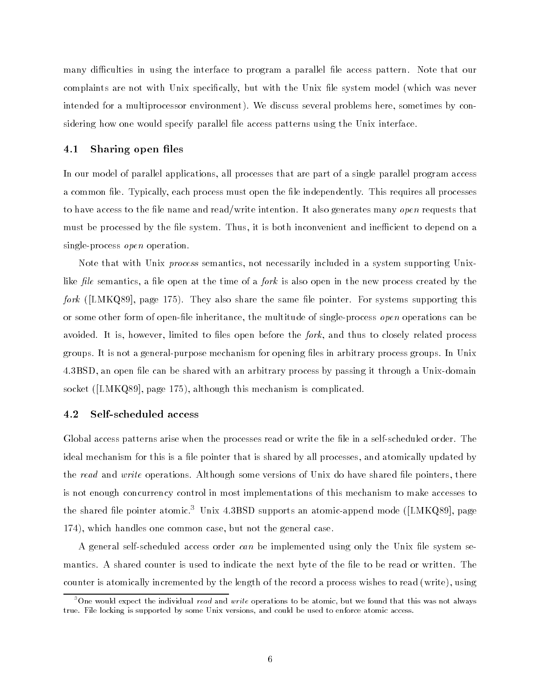many difficulties in using the interface to program a parallel file access pattern. Note that our complaints are not with Unix specically but with the Unix le system model which was never intended for a multiprocessor environment). We discuss several problems here, sometimes by considering how one would specify parallel file access patterns using the Unix interface.

### -Sharing open files

In our model of parallel applications, all processes that are part of a single parallel program access a common file. Typically, each process must open the file independently. This requires all processes to have access to the file name and read/write intention. It also generates many *open* requests that must be processed by the file system. Thus, it is both inconvenient and inefficient to depend on a single-process *open* operation.

Note that with Unix *process* semantics, not necessarily included in a system supporting Unixlike file semantics, a file open at the time of a *fork* is also open in the new process created by the  $\mathcal{L}^{\text{max}}$  , the same  $\mathcal{L}^{\text{max}}$  and same length  $\mathcal{L}^{\text{max}}$  supporting the same length  $\mathcal{L}^{\text{max}}$  . The same length  $\mathcal{L}^{\text{max}}$ or some other form of open-file inheritance, the multitude of single-process *open* operations can be avoided. It is, however, limited to files open before the *fork*, and thus to closely related process groups. It is not a general-purpose mechanism for opening files in arbitrary process groups. In Unix 4.3BSD, an open file can be shared with an arbitrary process by passing it through a Unix-domain socket the society of the complete this mechanism is completed and the complete the complete stated of the complete stated of the complete stated of the complete stated of the complete stated of the complete stated of the

### Self-scheduled access

Global access patterns arise when the processes read or write the file in a self-scheduled order. The ideal mechanism for this is a file pointer that is shared by all processes, and atomically updated by the read and write operations. Although some versions of Unix do have shared file pointers, there is not enough concurrency control in most implementations of this mechanism to make accesses to the shared life pointer atomic. Unix  $4.38$ D supports an atomic-append mode ([LMKQ89], page  $\,$ 174), which handles one common case, but not the general case.

A general self-scheduled access order can be implemented using only the Unix file system semantics. A shared counter is used to indicate the next byte of the file to be read or written. The counter is atomically incremented by the length of the record a process wishes to read (with  $\mu$  -process)

<sup>&</sup>lt;sup>3</sup>One would expect the individual *read* and *write* operations to be atomic, but we found that this was not always true. File locking is supported by some Unix versions, and could be used to enforce atomic access.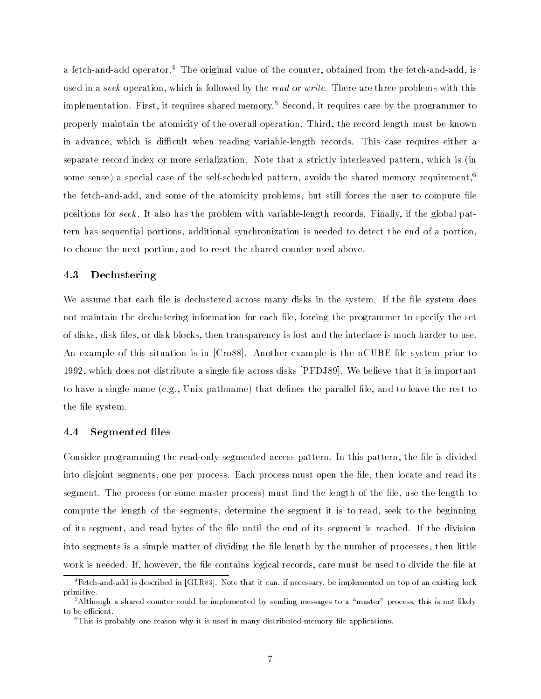a fetch-and-add operator.<sup>4</sup> The original value of the counter, obtained from the fetch-and-add, is used in a seek operation, which is followed by the read or write. There are three problems with this implementation. First, it requires shared memory.<sup>5</sup> Second, it requires care by the programmer to properly maintain the atomicity of the overall operation. Third, the record length must be known in advance, which is difficult when reading variable-length records. This case requires either a separate record index or more serialization Note that a strictly interleaved pattern which is in some sense) a special case of the self-scheduled pattern, avoids the shared memory requirement,<sup>6</sup> the fetch-and-add, and some of the atomicity problems, but still forces the user to compute file positions for seek. It also has the problem with variable-length records. Finally, if the global pattern has sequential portions, additional synchronization is needed to detect the end of a portion, to choose the next portion, and to reset the shared counter used above.

### Declustering

We assume that each file is declustered across many disks in the system. If the file system does not maintain the declustering information for each file, forcing the programmer to specify the set of disks, disk files, or disk blocks, then transparency is lost and the interface is much harder to use. An example of this situation is in  $[Cross]$ . Another example is the nCUBE file system prior to 1992, which does not distribute a single file across disks [PFDJ89]. We believe that it is important to have a single name that a single state that denes the pathners are parallel leave to leave the rest to leav the file system.

#### -Segmented files

Consider programming the read-only segmented access pattern. In this pattern, the file is divided into disjoint segments, one per process. Each process must open the file, then locate and read its segment The process or some master process must nd the length of the le use the length to compute the length of the segments, determine the segment it is to read, seek to the beginning of its segment, and read bytes of the file until the end of its segment is reached. If the division into segments is a simple matter of dividing the file length by the number of processes, then little work is needed. If, however, the file contains logical records, care must be used to divide the file at

 ${}^{4}$ Fetch-and-add is described in [GLR83]. Note that it can, if necessary, be implemented on top of an existing lock primitive

 $5$ Although a shared counter could be implemented by sending messages to a "master" process, this is not likely to be efficient.

 ${}^6$ This is probably one reason why it is used in many distributed-memory file applications.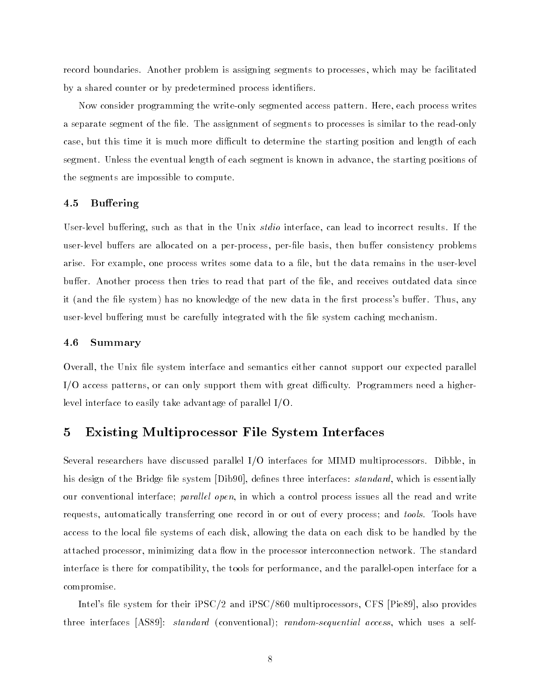record boundaries Another problem is assigning segments to processes which may be facilitated by a shared counter or by predetermined process identifiers.

Now consider programming the write-only segmented access pattern. Here, each process writes a separate segment of the file. The assignment of segments to processes is similar to the read-only case, but this time it is much more difficult to determine the starting position and length of each segment. Unless the eventual length of each segment is known in advance, the starting positions of the segments are impossible to compute

### -**Buffering**

User-level buffering, such as that in the Unix stdio interface, can lead to incorrect results. If the user-level buffers are allocated on a per-process, per-file basis, then buffer consistency problems arise. For example, one process writes some data to a file, but the data remains in the user-level buffer. Another process then tries to read that part of the file, and receives outdated data since it (it system in the left the left the left in the normal in the rest  $\alpha$  in the rest process but any  $\alpha$ user-level buffering must be carefully integrated with the file system caching mechanism.

#### - Summary

Overall, the Unix file system interface and semantics either cannot support our expected parallel  $I/O$  access patterns, or can only support them with great difficulty. Programmers need a higherlevel interface to easily take advantage of parallel  $I/O$ .

### $\bf{5}$ Existing Multiprocessor File System Interfaces

Several researchers have discussed parallel  $I/O$  interfaces for MIMD multiprocessors. Dibble, in his design of the Bridge file system [Dib90], defines three interfaces: *standard*, which is essentially our conventional interface; parallel open, in which a control process issues all the read and write requests, automatically transferring one record in or out of every process; and *tools*. Tools have access to the local file systems of each disk, allowing the data on each disk to be handled by the attached processor, minimizing data flow in the processor interconnection network. The standard interface is there for compatibility, the tools for performance, and the parallel-open interface for a compromise

Intel's file system for their  $\text{PSC}/2$  and  $\text{PSC}/860$  multiprocessors, CFS [Pie89], also provides three interfaces provided accessive processional accessive and access which uses a self-convention and access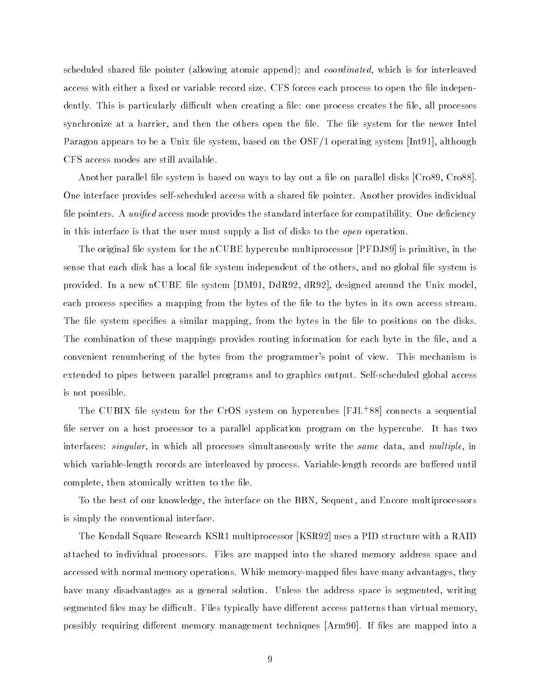scheduled shared and pointerly which interval arrived and coordinated which is for interesting which is for access with either a fixed or variable record size. CFS forces each process to open the file independently. This is particularly difficult when creating a file: one process creates the file, all processes synchronize at a barrier, and then the others open the file. The file system for the newer Intel Paragon appears to be a Unix file system, based on the  $\text{OSF}/1$  operating system [Int91], although CFS access modes are still available

Another parallel file system is based on ways to lay out a file on parallel disks  $[C_{1089}, C_{1088}]$ . One interface provides self-scheduled access with a shared file pointer. Another provides individual file pointers. A *unified* access mode provides the standard interface for compatibility. One deficiency in this interface is that the user must supply a list of disks to the *open* operation.

The original file system for the  $\operatorname{nCUEE}$  hypercube multiprocessor [PFDJ89] is primitive, in the sense that each disk has a local file system independent of the others, and no global file system is provided. In a new nCUBE file system [DM91, DdR92, dR92], designed around the Unix model, each process specifies a mapping from the bytes of the file to the bytes in its own access stream. The file system specifies a similar mapping, from the bytes in the file to positions on the disks. The combination of these mappings provides routing information for each byte in the file, and a convenient renumbering of the bytes from the programmer's point of view. This mechanism is extended to pipes between parallel programs and to graphics output. Self-scheduled global access is not possible

The CUBIX le system for the CrOS system on hypercubes FJL connects a sequential file server on a host processor to a parallel application program on the hypercube. It has two interfaces: *singular*, in which all processes simultaneously write the *same* data, and multiple, in which variable-length records are interleaved by process. Variable-length records are buffered until complete, then atomically written to the file.

To the best of our knowledge, the interface on the BBN, Sequent, and Encore multiprocessors is simply the conventional interface

The Kendall Square Research KSR1 multiprocessor [KSR92] uses a PID structure with a RAID attached to individual processors. Files are mapped into the shared memory address space and accessed with normal memory operations. While memory-mapped files have many advantages, they have many disadvantages as a general solution. Unless the address space is segmented, writing segmented files may be difficult. Files typically have different access patterns than virtual memory, possibly requiring different memory management techniques [Arm90]. If files are mapped into a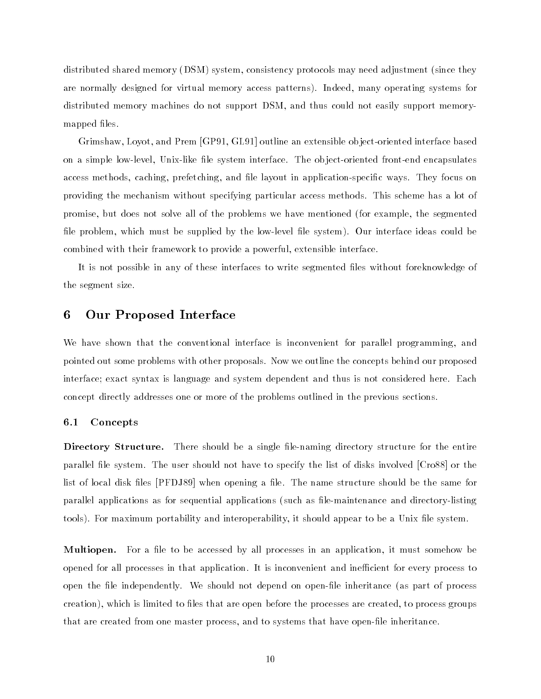distributed shared memory (in since for factories and adjustment and adjustment (since and factories) are normally designed for virtual memory access patterns). Indeed, many operating systems for distributed memory machines do not support DSM, and thus could not easily support memorymapped files.

Grimshaw, Loyot, and Prem [GP91, GL91] outline an extensible object-oriented interface based on a simple low-level, Unix-like file system interface. The object-oriented front-end encapsulates access methods, caching, prefetching, and file layout in application-specific ways. They focus on providing the mechanism without specifying particular access methods This scheme has a lot of promise but does not solve all of the problems we have mentioned for example the segmented file problem, which must be supplied by the low-level file system). Our interface ideas could be combined with their framework to provide a powerful, extensible interface.

It is not possible in any of these interfaces to write segmented files without foreknowledge of the segment size

### 6 Our Proposed Interface

We have shown that the conventional interface is inconvenient for parallel programming, and pointed out some problems with other proposals Now we outline the concepts behind our proposed interface; exact syntax is language and system dependent and thus is not considered here. Each concept directly addresses one or more of the problems outlined in the previous sections

### -Concepts

 $\mathcal{S}$  showled be a single length of the entire for the entire for the entire for the entire for the entire for the entire for the entire for the entire for the entire for the entire for the entire for the entire for th parallel file system. The user should not have to specify the list of disks involved [Cro88] or the list of local disk files [PFDJ89] when opening a file. The name structure should be the same for parallel applications as for sequential applications such as lemaintenance and directorylisting tools). For maximum portability and interoperability, it should appear to be a Unix file system.

Multiopen- For a le to be accessed by all processes in an application it must somehow be opened for all processes in that application. It is inconvenient and inefficient for every process to open the le independently We should not depend on openle inheritance as part of process creation), which is limited to files that are open before the processes are created, to process groups that are created from one master process, and to systems that have open-file inheritance.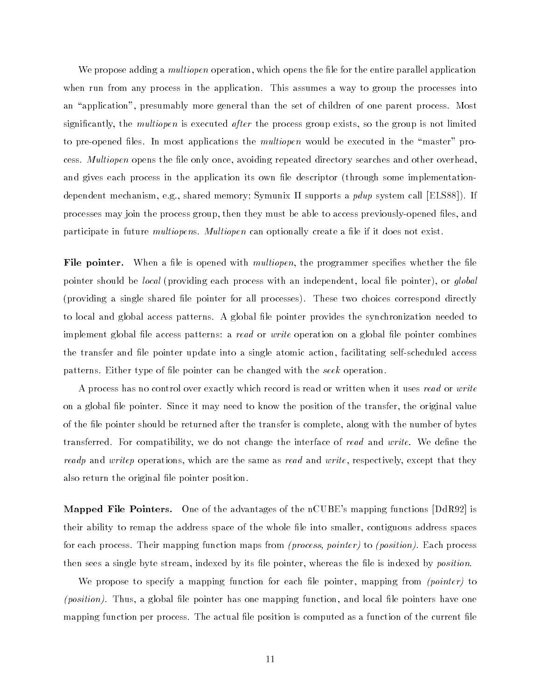We propose adding a *multiopen* operation, which opens the file for the entire parallel application when run from any process in the application. This assumes a way to group the processes into an - application presumation presumably more general than the set of one can parent process more partners and significantly, the *multiopen* is executed *after* the process group exists, so the group is not limited to preopened les In most applications the multiopen would be executed in the -master pro cess. Multiopen opens the file only once, avoiding repeated directory searches and other overhead, and gives each process in the application its own less its own leading and application in the complementation dependent mechanism, e.g., shared memory; Symunix II supports a *pdup* system call [ELS88]). If processes may join the process group, then they must be able to access previously-opened files, and participate in future *multiopens*. Multiopen can optionally create a file if it does not exist.

File pointer- When a le is opened with multiopen the programmer species whether the le providing each each providing providing each providing each providing process with an independent leads of global le providing a single shared le pointer for all processes These two choices correspond directly to local and global access patterns. A global file pointer provides the synchronization needed to implement global file access patterns: a *read* or *write* operation on a global file pointer combines the transfer and file pointer update into a single atomic action, facilitating self-scheduled access patterns. Either type of file pointer can be changed with the seek operation.

A process has no control over exactly which record is read or written when it uses read or write on a global file pointer. Since it may need to know the position of the transfer, the original value of the file pointer should be returned after the transfer is complete, along with the number of bytes transferred. For compatibility, we do not change the interface of read and write. We define the readp and writep operations, which are the same as read and write, respectively, except that they also return the original file pointer position.

advantage for the advantages of the advantages of the next control functions in the next the second  $\mu$ their ability to remap the address space of the whole file into smaller, contiguous address spaces for each process Their mapping function maps from process- pointer to position Each process then sees a single byte stream, indexed by its file pointer, whereas the file is indexed by *position*.

We propose to specify a mapping function for each file pointer, mapping from  $\textit{(pointer)}$  to *(position)*. Thus, a global file pointer has one mapping function, and local file pointers have one mapping function per process. The actual file position is computed as a function of the current file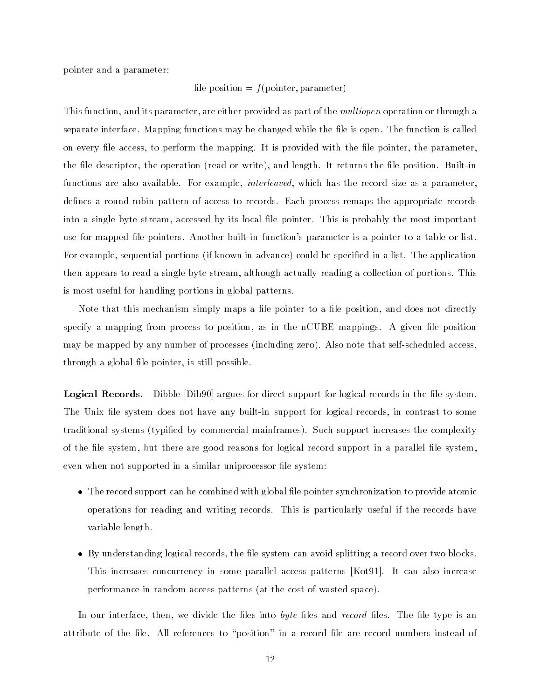pointer and a parameter

### le position <sup>f</sup> pointer- parameter

This function, and its parameter, are either provided as part of the *multiopen* operation or through a separate interface. Mapping functions may be changed while the file is open. The function is called on every file access, to perform the mapping. It is provided with the file pointer, the parameter. the less doctor the contract the original contract is and length It returns the length It returns the less tha functions are also available. For example, *interleaved*, which has the record size as a parameter. defines a round-robin pattern of access to records. Each process remaps the appropriate records into a single byte stream, accessed by its local file pointer. This is probably the most important use for mapped file pointers. Another built-in function's parameter is a pointer to a table or list. For example sequential portions if known in advance could be specied in a list The application then appears to read a single byte stream although actually reading a collection of portions This is most useful for handling portions in global patterns

Note that this mechanism simply maps a file pointer to a file position, and does not directly specify a mapping from process to position, as in the nCUBE mappings. A given file position may be mapped by any number of processes including zero Also note that selfscheduled access through a global file pointer, is still possible.

— - <del>Argues for direct support for logical records in the legal records in the legal records in the legal record</del> The Unix file system does not have any built-in support for logical records, in contrast to some traditional systems typied by commercial mainframes Such support increases the complexity of the file system, but there are good reasons for logical record support in a parallel file system. even when not supported in a similar uniprocessor file system:

- The record support can be combined with global le pointer synchronization to provide atomic operations for reading and writing records This is particularly useful if the records have variable length
- By understanding logical records the le system can avoid splitting a record over two blocks This increases concurrency in some parallel access patterns [Kot91]. It can also increase performance in random access patterns at the cost of wasted space

In our interface, then, we divide the files into byte files and record files. The file type is an attribute in the dest tributements to - position the areas dest are record density in a record in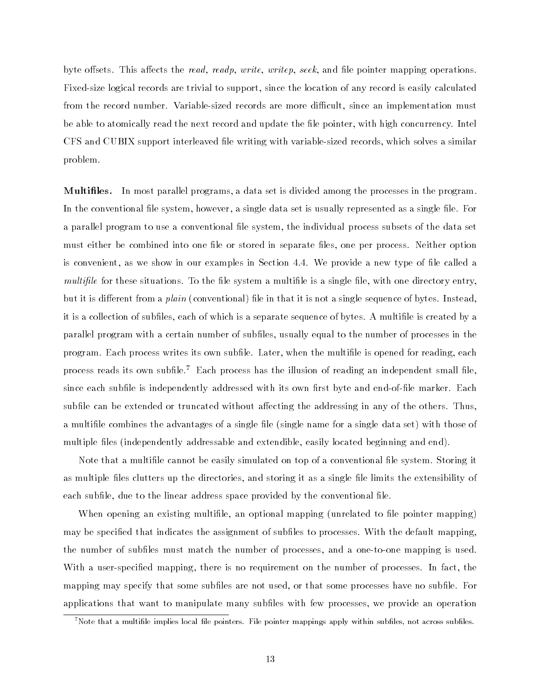byte offsets. This affects the *read, readp, write, writep, seek*, and file pointer mapping operations. Fixed-size logical records are trivial to support, since the location of any record is easily calculated from the record number. Variable-sized records are more difficult, since an implementation must be able to atomically read the next record and update the file pointer, with high concurrency. Intel CFS and CUBIX support interleaved file writing with variable-sized records, which solves a similar problem

Multiles- In most parallel programs a data set is divided among the processes in the program In the conventional file system, however, a single data set is usually represented as a single file. For a parallel program to use a conventional file system, the individual process subsets of the data set must either be combined into one file or stored in separate files, one per process. Neither option is convenient, as we show in our examples in Section 4.4. We provide a new type of file called a multifile for these situations. To the file system a multifile is a single file, with one directory entry, but it is dierent from a plain conventional le in that it is not a single sequence of bytes Instead it is a collection of subfiles, each of which is a separate sequence of bytes. A multifile is created by a parallel program with a certain number of subfiles, usually equal to the number of processes in the program. Each process writes its own subfile. Later, when the multifile is opened for reading, each process reads its own subfile.<sup>7</sup> Each process has the illusion of reading an independent small file. since each subfile is independently addressed with its own first byte and end-of-file marker. Each subfile can be extended or truncated without affecting the addressing in any of the others. Thus, a multimes the advantages of a single left with the single data set with the single data set with the set with multiple les independently addressable and extendible easily located beginning and end

Note that a multifile cannot be easily simulated on top of a conventional file system. Storing it as multiple files clutters up the directories, and storing it as a single file limits the extensibility of each subfile, due to the linear address space provided by the conventional file.

When opening an existing multile an optional mapping unrelated to le pointer mapping may be specified that indicates the assignment of subfiles to processes. With the default mapping the number of subfiles must match the number of processes, and a one-to-one mapping is used. With a user-specified mapping, there is no requirement on the number of processes. In fact, the mapping may specify that some subfiles are not used, or that some processes have no subfile. For applications that want to manipulate many subfiles with few processes, we provide an operation

 $^7$ Note that a multifile implies local file pointers. File pointer mappings apply within subfiles, not across subfiles.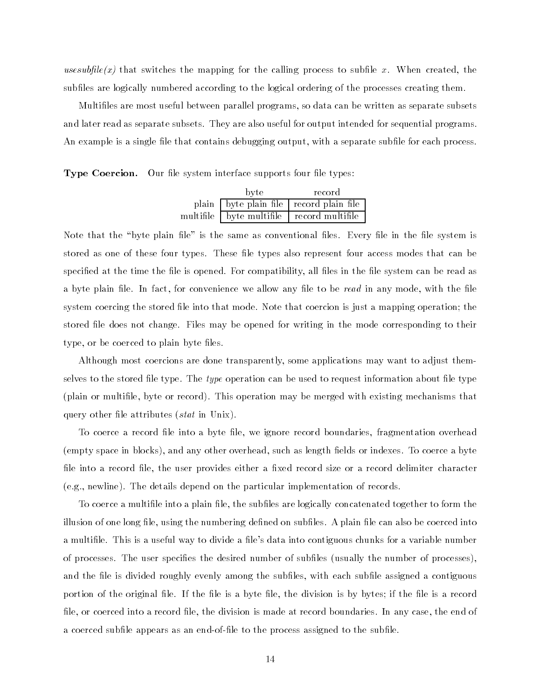usesubfile  $(x)$  that switches the mapping for the calling process to subfile x. When created, the subfiles are logically numbered according to the logical ordering of the processes creating them.

Multiles are most useful between parallel programs so data can be written as separate subsets and later read as separate subsets They are also useful for output intended for sequential programs An example is a single file that contains debugging output, with a separate subfile for each process.

Type Coercion- Our le system interface supports four le types

| byte                     | record                                  |
|--------------------------|-----------------------------------------|
|                          | plain byte plain file record plain file |
| multifile byte multifile | $\frac{1}{2}$ record multifile          |

Note that the -byte plain le is the same as conventional les Every le in the le system is stored as one of these four types. These file types also represent four access modes that can be specified at the time the file is opened. For compatibility, all files in the file system can be read as a byte plain file. In fact, for convenience we allow any file to be read in any mode, with the file system coercing the stored file into that mode. Note that coercion is just a mapping operation; the stored file does not change. Files may be opened for writing in the mode corresponding to their type, or be coerced to plain byte files.

Although most coercions are done transparently some applications may want to adjust them selves to the stored file type. The type operation can be used to request information about file type plain or multile byte or record This operation may be merged with existing mechanisms that query other leads in Unix and Unix and Unix and Unix and Unix and Unix and Unix and Unix and Unix and Unix and

To coerce a record file into a byte file, we ignore record boundaries, fragmentation overhead empty space in blocks and any other overhead such as length elds or indexes To coerce a byte file into a record file, the user provides either a fixed record size or a record delimiter character eg newline The details depend on the particular implementation of records

To coerce a multifile into a plain file, the subfiles are logically concatenated together to form the illusion of one long file, using the numbering defined on subfiles. A plain file can also be coerced into a multifile. This is a useful way to divide a file's data into contiguous chunks for a variable number of processes The user species the desired number of subles usually the number of processes and the file is divided roughly evenly among the subfiles, with each subfile assigned a contiguous portion of the original file. If the file is a byte file, the division is by bytes; if the file is a record file, or coerced into a record file, the division is made at record boundaries. In any case, the end of a coerced subfile appears as an end-of-file to the process assigned to the subfile.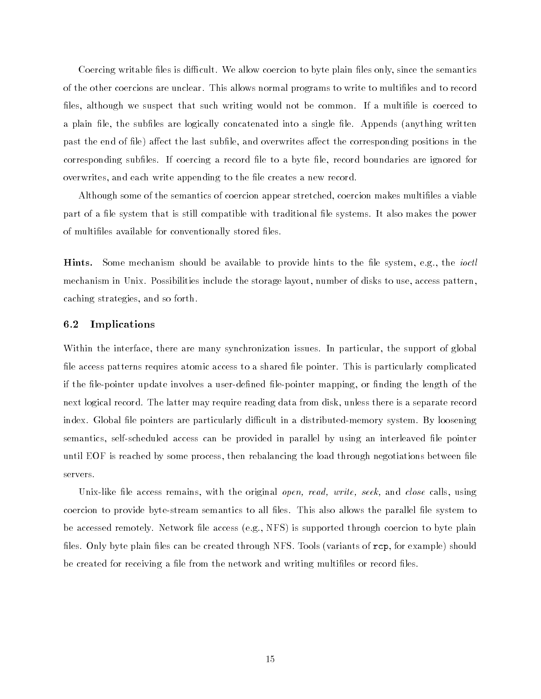Coercing writable files is difficult. We allow coercion to byte plain files only, since the semantics of the other coercions are unclear. This allows normal programs to write to multifiles and to record files, although we suspect that such writing would not be common. If a multifile is coerced to a plain le the subles are logically concatenated into a single le Appends anything written past the end of file) affect the last subfile, and overwrites affect the corresponding positions in the corresponding subfiles. If coercing a record file to a byte file, record boundaries are ignored for overwrites, and each write appending to the file creates a new record.

Although some of the semantics of coercion appear stretched, coercion makes multifiles a viable part of a file system that is still compatible with traditional file systems. It also makes the power of multifiles available for conventionally stored files.

Hints-Some mechanism should be available to provide hints to the file system, e.g., the *ioctl* mechanism in Unix. Possibilities include the storage layout, number of disks to use, access pattern, caching strategies, and so forth.

#### -Implications

Within the interface, there are many synchronization issues. In particular, the support of global file access patterns requires atomic access to a shared file pointer. This is particularly complicated if the file-pointer update involves a user-defined file-pointer mapping, or finding the length of the next logical record. The latter may require reading data from disk, unless there is a separate record index. Global file pointers are particularly difficult in a distributed-memory system. By loosening semantics, self-scheduled access can be provided in parallel by using an interleaved file pointer until EOF is reached by some process, then rebalancing the load through negotiations between file servers

ek- and close remains with the original opencoercion to provide byte-stream semantics to all files. This also allows the parallel file system to be accessed remotely Network le access eg NFS is supported through coercion to byte plain les only byte plain less can be created through the created through the species  $\alpha$  representation for example showles be created for receiving a file from the network and writing multifiles or record files.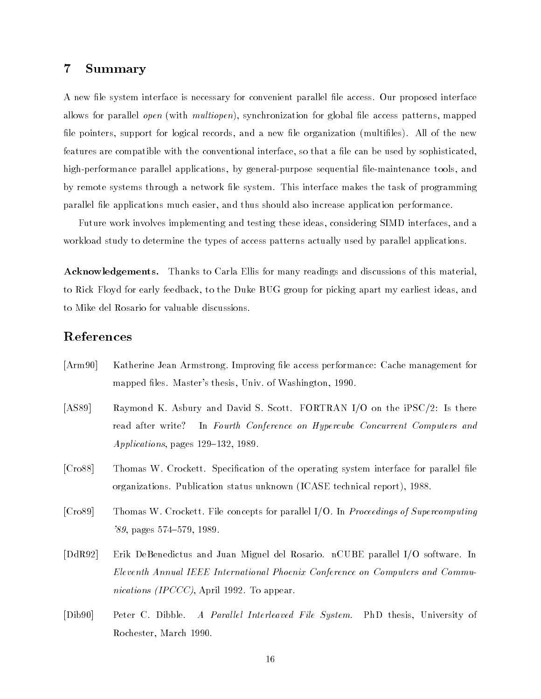### $\overline{7}$ Summary

A new file system interface is necessary for convenient parallel file access. Our proposed interface with multiopen synchronization for global leads of global legislation for global leads of patterns mapped by the le pointers support for logical records and a new le organization multiles All of the new features are compatible with the conventional interface, so that a file can be used by sophisticated. high-performance parallel applications, by general-purpose sequential file-maintenance tools, and by remote systems through a network file system. This interface makes the task of programming parallel file applications much easier, and thus should also increase application performance.

Future work involves implementing and testing these ideas considering SIMD interfaces and a workload study to determine the types of access patterns actually used by parallel applications

activities to Carla Ellis for many readings and discussions and discussions and discussions and discussions of to Rick Floyd for early feedback to the Duke BUG group for picking apart my earliest ideas and to Mike del Rosario for valuable discussions

# References

- [Arm90] Katherine Jean Armstrong, Improving file access performance: Cache management for mapped files. Master's thesis, Univ. of Washington, 1990.
- [AS89] Raymond K. Asbury and David S. Scott. FORTRAN I/O on the iPSC/2: Is there read after write? In Fourth Conference on Hypercube Concurrent Computers and  $Applications$ , pages  $129-132$ , 1989.
- [Cro88] Thomas W. Crockett. Specification of the operating system interface for parallel file organizations Publication status unknown ICASE technical report
- [Cro89] Thomas W. Crockett. File concepts for parallel I/O. In Proceedings of Supercomputing pages in the state of the state of the state of the state of the state of the state of the state of the state of the state of the state of the state of the state of the state of the state of the state of the state of the s
- DdR Erik DeBenedictus and Juan Miguel del Rosario nCUBE parallel IO software In Eleventh Annual IEEE International Phoenix Conference on Computers and Commu nications *(IPCCC)*, April 1992. To appear.
- [Dib90] Peter C. Dibble. A Parallel Interleaved File System. PhD thesis, University of Rochester, March 1990.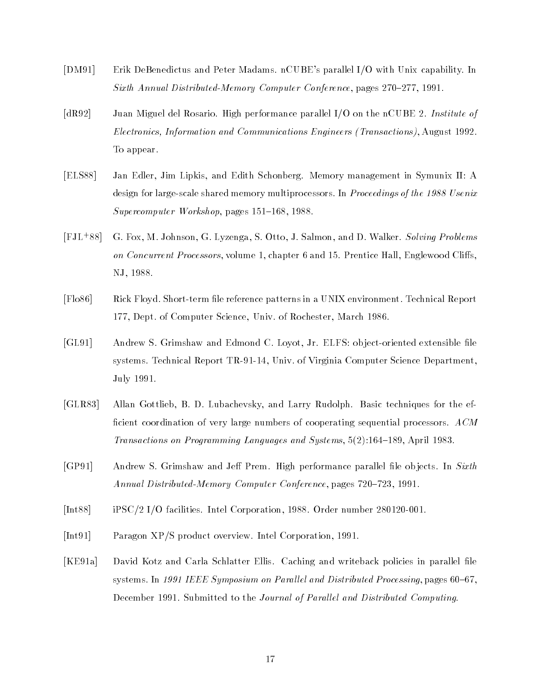- [DM91] Erik DeBenedictus and Peter Madams. nCUBE's parallel I/O with Unix capability. In Sixth Annual Distributed-Memory Computer Conference, pages  $270-277$ , 1991.
- [dR92] Juan Miguel del Rosario. High performance parallel I/O on the nCUBE 2. Institute of Electronics- Information and Communications Engineers Transactions August To appear
- [ELS88] Jan Edler, Jim Lipkis, and Edith Schonberg. Memory management in Symunix II: A design for any state shared memory multiprocessors In Proceedings of the form of the state  $\sim$  $Supercomputer$  Workshop, pages  $151-168$ , 1988.
- $[$ FJL<sup> $+88]$ </sup> G. Fox, M. Johnson, G. Lyzenga, S. Otto, J. Salmon, and D. Walker. Solving Problems on Concurrent Processors, volume 1, chapter 6 and 15. Prentice Hall, Englewood Cliffs, NJ. 1988.
- [Flo86] Rick Floyd. Short-term file reference patterns in a UNIX environment. Technical Report 177, Dept. of Computer Science, Univ. of Rochester, March 1986.
- [GL91] Andrew S. Grimshaw and Edmond C. Loyot, Jr. ELFS: object-oriented extensible file systems. Technical Report TR-91-14, Univ. of Virginia Computer Science Department. July 1991.
- [GLR83] Allan Gottlieb, B. D. Lubachevsky, and Larry Rudolph. Basic techniques for the efficient coordination of very large numbers of cooperating sequential processors.  $ACM$  $\mathcal{A}$  . Applying Languages and Systems and Systems and Systems and Systems and Systems and Systems and Systems and Systems and Systems and Systems and Systems and Systems and Systems and Systems and Systems and Systems
- [GP91] Andrew S. Grimshaw and Jeff Prem. High performance parallel file objects. In Sixth Annual Distributed-Memory Computer Conference, pages  $720-723$ , 1991.
- [Int88] iPSC/2 I/O facilities. Intel Corporation, 1988. Order number 280120-001.
- [Int91] Paragon XP/S product overview. Intel Corporation, 1991.
- [KE91a] David Kotz and Carla Schlatter Ellis. Caching and writeback policies in parallel file systems In Iere In Andrey Symposium on Processing Processing pages in Iere Processing pages in Iere December 1991. Submitted to the Journal of Parallel and Distributed Computing.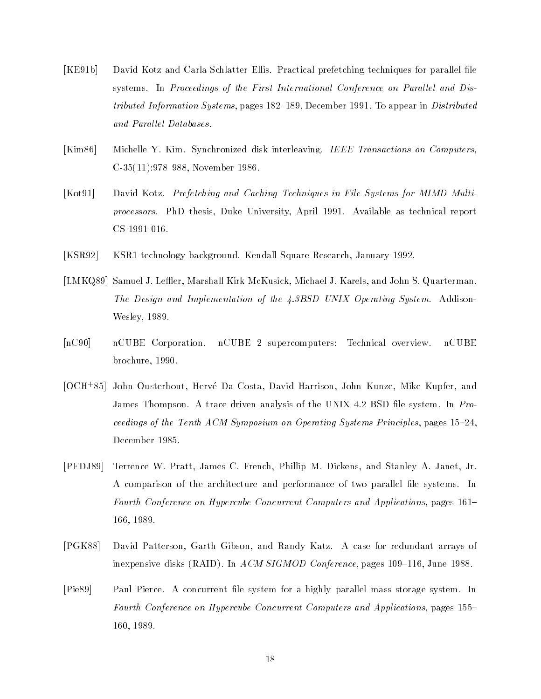- [KE91b] David Kotz and Carla Schlatter Ellis. Practical prefetching techniques for parallel file systems. In Proceedings of the First International Conference on Parallel and Distributed Information Systems, pages  $182-189$ , December 1991. To appear in Distributed and Parallel Databases.
- [Kim 86] Michelle Y. Kim. Synchronized disk interleaving. IEEE Transactions on Computers, C 

November
- [Kot91] David Kotz. Prefetching and Caching Techniques in File Systems for MIMD Multiprocessors. PhD thesis, Duke University, April 1991. Available as technical report CS-1991-016.
- [KSR92] KSR1 technology background. Kendall Square Research, January 1992.
- [LMKQ89] Samuel J. Leffler, Marshall Kirk McKusick, Michael J. Karels, and John S. Quarterman. The Design and Implementation of the  $\ddagger$ , 3BSD UNIX Operating System. Addison-Wesley, 1989.
- [nC90] nCUBE Corporation. nCUBE 2 supercomputers: Technical overview. nCUBE brochure, 1990.
- OCH John Ousterhout Herv!e Da Costa David Harrison John Kunze Mike Kupfer and James Thompson. A trace driven analysis of the UNIX 4.2 BSD file system. In Proceedings of the Tenth ACM Symposium on Operating Systems Principles, pages  $15-24$ , December
- [PFDJ89] Terrence W. Pratt, James C. French, Phillip M. Dickens, and Stanley A. Janet, Jr. A comparison of the architecture and performance of two parallel file systems. In Fourth Conference on Hypercube Concurrent Computers and Applications, pages 161– 166, 1989.
- PGK David Patterson Garth Gibson and Randy Katz A case for redundant arrays of interpreted to distinct (its and it is conference pages of the pages and the state of the state of the state o
- [Pie89] Paul Pierce. A concurrent file system for a highly parallel mass storage system. In Fourth Conference on Hypercube Concurrent Computers and Applications, pages 155– 160, 1989.